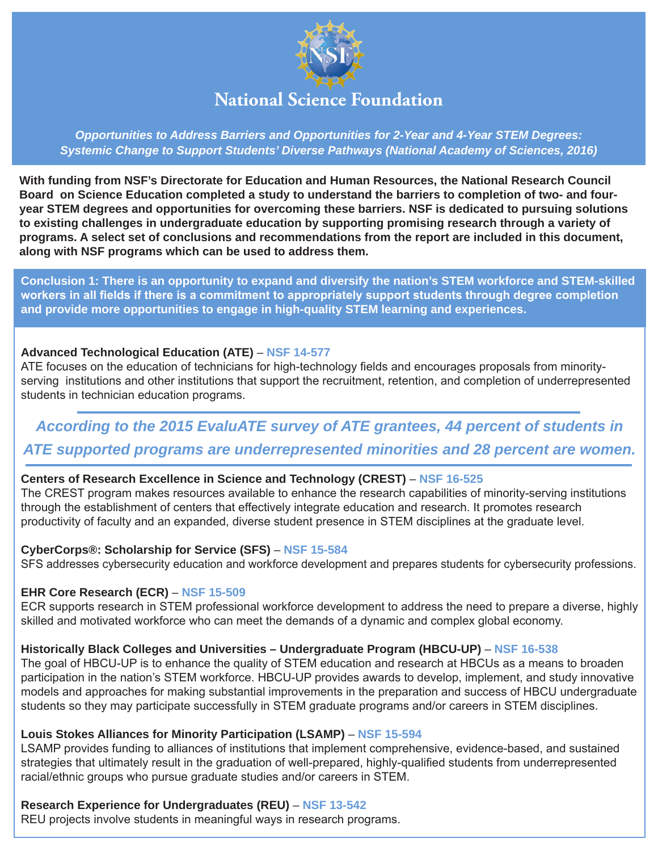

*Opportunities to Address Barriers and Opportunities for 2-Year and 4-Year STEM Degrees: Systemic Change to Support Students' Diverse Pathways (National Academy of Sciences, 2016)*

**With funding from NSF's Directorate for Education and Human Resources, the National Research Council Board on Science Education completed a study to understand the barriers to completion of two- and fouryear STEM degrees and opportunities for overcoming these barriers. NSF is dedicated to pursuing solutions to existing challenges in undergraduate education by supporting promising research through a variety of programs. A select set of conclusions and recommendations from the report are included in this document, along with NSF programs which can be used to address them.**

**Conclusion 1: There is an opportunity to expand and diversify the nation's STEM workforce and STEM-skilled workers in all fields if there is a commitment to appropriately support students through degree completion and provide more opportunities to engage in high-quality STEM learning and experiences.**

#### **Advanced Technological Education (ATE)** – **[NSF 14-577](http://www.nsf.gov/publications/pub_summ.jsp?ods_key=nsf14577)**

ATE focuses on the education of technicians for high-technology fields and encourages proposals from minorityserving institutions and other institutions that support the recruitment, retention, and completion of underrepresented students in technician education programs.

## *According to the 2015 EvaluATE survey of ATE grantees, 44 percent of students in ATE supported programs are underrepresented minorities and 28 percent are women.*

## **Centers of Research Excellence in Science and Technology (CREST)** – **[NSF 16-525](http://www.nsf.gov/publications/pub_summ.jsp?ods_key=nsf16525)**

The CREST program makes resources available to enhance the research capabilities of minority-serving institutions through the establishment of centers that effectively integrate education and research. It promotes research productivity of faculty and an expanded, diverse student presence in STEM disciplines at the graduate level.

#### **CyberCorps®: Scholarship for Service (SFS)** – **[NSF 15-584](http://www.nsf.gov/publications/pub_summ.jsp?ods_key=nsf15584)**

SFS addresses cybersecurity education and workforce development and prepares students for cybersecurity professions.

## **EHR Core Research (ECR)** – **[NSF 15-509](http://www.nsf.gov/publications/pub_summ.jsp?ods_key=nsf15509)**

ECR supports research in STEM professional workforce development to address the need to prepare a diverse, highly skilled and motivated workforce who can meet the demands of a dynamic and complex global economy.

## **Historically Black Colleges and Universities – Undergraduate Program (HBCU-UP)** – **[NSF 16-538](http://www.nsf.gov/publications/pub_summ.jsp?ods_key=nsf16538)**

The goal of HBCU-UP is to enhance the quality of STEM education and research at HBCUs as a means to broaden participation in the nation's STEM workforce. HBCU-UP provides awards to develop, implement, and study innovative models and approaches for making substantial improvements in the preparation and success of HBCU undergraduate students so they may participate successfully in STEM graduate programs and/or careers in STEM disciplines.

#### **Louis Stokes Alliances for Minority Participation (LSAMP)** – **[NSF 15-594](http://www.nsf.gov/publications/pub_summ.jsp?ods_key=nsf15594)**

LSAMP provides funding to alliances of institutions that implement comprehensive, evidence-based, and sustained strategies that ultimately result in the graduation of well-prepared, highly-qualified students from underrepresented racial/ethnic groups who pursue graduate studies and/or careers in STEM.

## **Research Experience for Undergraduates (REU)** – **[NSF 13-542](http://www.nsf.gov/publications/pub_summ.jsp?ods_key=nsf13542)**

REU projects involve students in meaningful ways in research programs.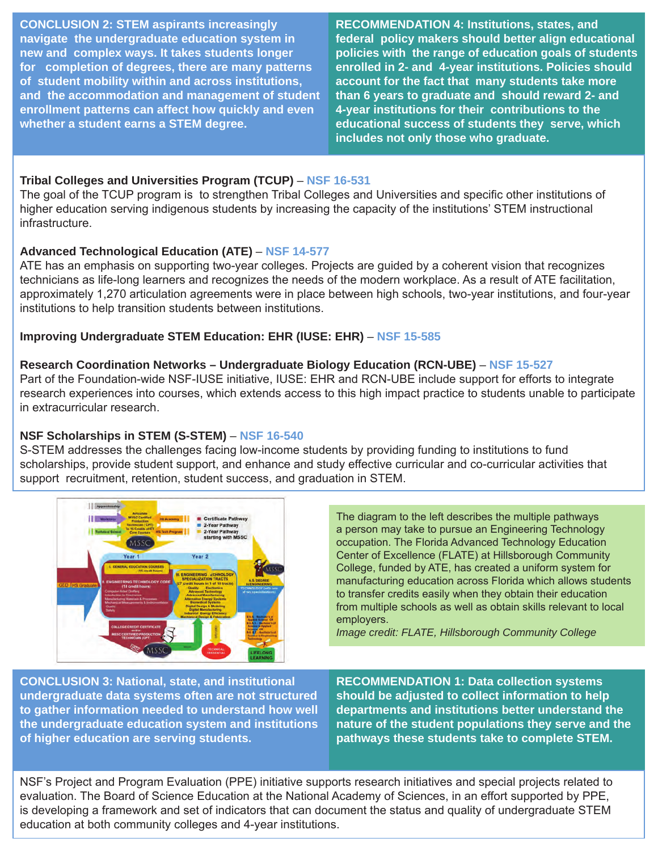**CONCLUSION 2: STEM aspirants increasingly navigate the undergraduate education system in new and complex ways. It takes students longer for completion of degrees, there are many patterns of student mobility within and across institutions, and the accommodation and management of student enrollment patterns can affect how quickly and even whether a student earns a STEM degree.**

**RECOMMENDATION 4: Institutions, states, and federal policy makers should better align educational policies with the range of education goals of students enrolled in 2- and 4-year institutions. Policies should account for the fact that many students take more than 6 years to graduate and should reward 2- and 4-year institutions for their contributions to the educational success of students they serve, which includes not only those who graduate.** 

## **Tribal Colleges and Universities Program (TCUP)** – **[NSF 16-531](http://www.nsf.gov/publications/pub_summ.jsp?ods_key=nsf16531)**

The goal of the TCUP program is to strengthen Tribal Colleges and Universities and specific other institutions of higher education serving indigenous students by increasing the capacity of the institutions' STEM instructional infrastructure.

## **Advanced Technological Education (ATE)** – **[NSF 14-577](http://www.nsf.gov/publications/pub_summ.jsp?ods_key=nsf14577)**

ATE has an emphasis on supporting two-year colleges. Projects are guided by a coherent vision that recognizes technicians as life-long learners and recognizes the needs of the modern workplace. As a result of ATE facilitation, approximately 1,270 articulation agreements were in place between high schools, two-year institutions, and four-year institutions to help transition students between institutions.

## **Improving Undergraduate STEM Education: EHR (IUSE: EHR)** – **[NSF 15-585](http://www.nsf.gov/publications/pub_summ.jsp?ods_key=nsf15585)**

#### **Research Coordination Networks – Undergraduate Biology Education (RCN-UBE)** – **[NSF 15-527](http://www.nsf.gov/publications/pub_summ.jsp?ods_key=nsf15527)**

Part of the Foundation-wide NSF-IUSE initiative, IUSE: EHR and RCN-UBE include support for efforts to integrate research experiences into courses, which extends access to this high impact practice to students unable to participate in extracurricular research.

## **NSF Scholarships in STEM (S-STEM)** – **[NSF 16-540](http://www.nsf.gov/publications/pub_summ.jsp?ods_key=nsf16540)**

S-STEM addresses the challenges facing low-income students by providing funding to institutions to fund scholarships, provide student support, and enhance and study effective curricular and co-curricular activities that support recruitment, retention, student success, and graduation in STEM.



The diagram to the left describes the multiple pathways a person may take to pursue an Engineering Technology occupation. The Florida Advanced Technology Education Center of Excellence (FLATE) at Hillsborough Community College, funded by ATE, has created a uniform system for manufacturing education across Florida which allows students to transfer credits easily when they obtain their education from multiple schools as well as obtain skills relevant to local employers.

*Image credit: FLATE, Hillsborough Community College*

**CONCLUSION 3: National, state, and institutional undergraduate data systems often are not structured to gather information needed to understand how well the undergraduate education system and institutions of higher education are serving students.**

**RECOMMENDATION 1: Data collection systems should be adjusted to collect information to help departments and institutions better understand the nature of the student populations they serve and the pathways these students take to complete STEM.**

NSF's Project and Program Evaluation (PPE) initiative supports research initiatives and special projects related to evaluation. The Board of Science Education at the National Academy of Sciences, in an effort supported by PPE, is developing a framework and set of indicators that can document the status and quality of undergraduate STEM education at both community colleges and 4-year institutions.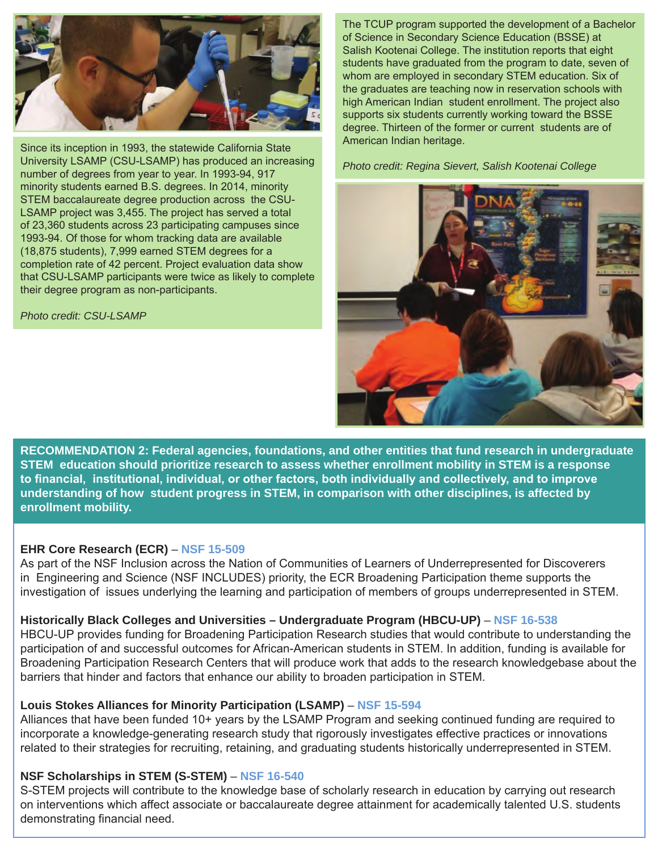

Since its inception in 1993, the statewide California State University LSAMP (CSU-LSAMP) has produced an increasing number of degrees from year to year. In 1993-94, 917 minority students earned B.S. degrees. In 2014, minority STEM baccalaureate degree production across the CSU-LSAMP project was 3,455. The project has served a total of 23,360 students across 23 participating campuses since 1993-94. Of those for whom tracking data are available (18,875 students), 7,999 earned STEM degrees for a completion rate of 42 percent. Project evaluation data show that CSU-LSAMP participants were twice as likely to complete their degree program as non-participants.

*Photo credit: CSU-LSAMP*

The TCUP program supported the development of a Bachelor of Science in Secondary Science Education (BSSE) at Salish Kootenai College. The institution reports that eight students have graduated from the program to date, seven of whom are employed in secondary STEM education. Six of the graduates are teaching now in reservation schools with high American Indian student enrollment. The project also supports six students currently working toward the BSSE degree. Thirteen of the former or current students are of American Indian heritage.

*Photo credit: Regina Sievert, Salish Kootenai College*



**RECOMMENDATION 2: Federal agencies, foundations, and other entities that fund research in undergraduate STEM education should prioritize research to assess whether enrollment mobility in STEM is a response to financial, institutional, individual, or other factors, both individually and collectively, and to improve understanding of how student progress in STEM, in comparison with other disciplines, is affected by enrollment mobility.**

## **EHR Core Research (ECR)** – **[NSF 15-509](http://www.nsf.gov/publications/pub_summ.jsp?ods_key=nsf15509)**

As part of the NSF Inclusion across the Nation of Communities of Learners of Underrepresented for Discoverers in Engineering and Science (NSF INCLUDES) priority, the ECR Broadening Participation theme supports the investigation of issues underlying the learning and participation of members of groups underrepresented in STEM.

#### **Historically Black Colleges and Universities – Undergraduate Program (HBCU-UP)** – **[NSF 16-538](http://www.nsf.gov/publications/pub_summ.jsp?ods_key=nsf16538)**

HBCU-UP provides funding for Broadening Participation Research studies that would contribute to understanding the participation of and successful outcomes for African-American students in STEM. In addition, funding is available for Broadening Participation Research Centers that will produce work that adds to the research knowledgebase about the barriers that hinder and factors that enhance our ability to broaden participation in STEM.

#### **Louis Stokes Alliances for Minority Participation (LSAMP)** – **[NSF 15-594](http://www.nsf.gov/publications/pub_summ.jsp?ods_key=nsf15594)**

Alliances that have been funded 10+ years by the LSAMP Program and seeking continued funding are required to incorporate a knowledge-generating research study that rigorously investigates effective practices or innovations related to their strategies for recruiting, retaining, and graduating students historically underrepresented in STEM.

#### **NSF Scholarships in STEM (S-STEM)** – **[NSF 16-540](http://www.nsf.gov/publications/pub_summ.jsp?ods_key=nsf16540)**

S-STEM projects will contribute to the knowledge base of scholarly research in education by carrying out research on interventions which affect associate or baccalaureate degree attainment for academically talented U.S. students demonstrating financial need.